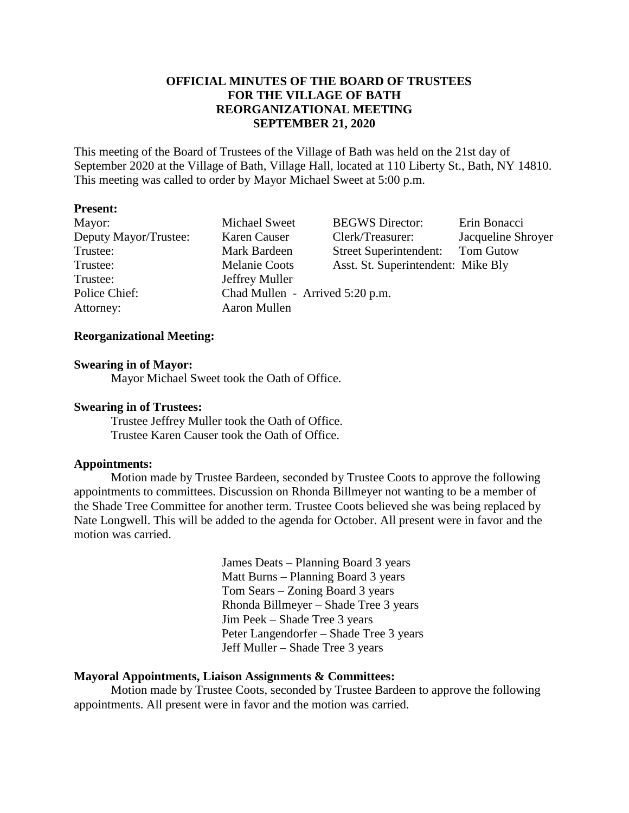## **OFFICIAL MINUTES OF THE BOARD OF TRUSTEES FOR THE VILLAGE OF BATH REORGANIZATIONAL MEETING SEPTEMBER 21, 2020**

This meeting of the Board of Trustees of the Village of Bath was held on the 21st day of September 2020 at the Village of Bath, Village Hall, located at 110 Liberty St., Bath, NY 14810. This meeting was called to order by Mayor Michael Sweet at 5:00 p.m.

### **Present:**

| Mayor:                | Michael Sweet                   | <b>BEGWS</b> Director:             | Erin Bonacci       |
|-----------------------|---------------------------------|------------------------------------|--------------------|
| Deputy Mayor/Trustee: | Karen Causer                    | Clerk/Treasurer:                   | Jacqueline Shroyer |
| Trustee:              | Mark Bardeen                    | Street Superintendent: Tom Gutow   |                    |
| Trustee:              | <b>Melanie Coots</b>            | Asst. St. Superintendent: Mike Bly |                    |
| Trustee:              | Jeffrey Muller                  |                                    |                    |
| Police Chief:         | Chad Mullen - Arrived 5:20 p.m. |                                    |                    |
| Attorney:             | Aaron Mullen                    |                                    |                    |

#### **Reorganizational Meeting:**

#### **Swearing in of Mayor:**

Mayor Michael Sweet took the Oath of Office.

#### **Swearing in of Trustees:**

Trustee Jeffrey Muller took the Oath of Office. Trustee Karen Causer took the Oath of Office.

### **Appointments:**

Motion made by Trustee Bardeen, seconded by Trustee Coots to approve the following appointments to committees. Discussion on Rhonda Billmeyer not wanting to be a member of the Shade Tree Committee for another term. Trustee Coots believed she was being replaced by Nate Longwell. This will be added to the agenda for October. All present were in favor and the motion was carried.

> James Deats – Planning Board 3 years Matt Burns – Planning Board 3 years Tom Sears – Zoning Board 3 years Rhonda Billmeyer – Shade Tree 3 years Jim Peek – Shade Tree 3 years Peter Langendorfer – Shade Tree 3 years Jeff Muller – Shade Tree 3 years

### **Mayoral Appointments, Liaison Assignments & Committees:**

Motion made by Trustee Coots, seconded by Trustee Bardeen to approve the following appointments. All present were in favor and the motion was carried.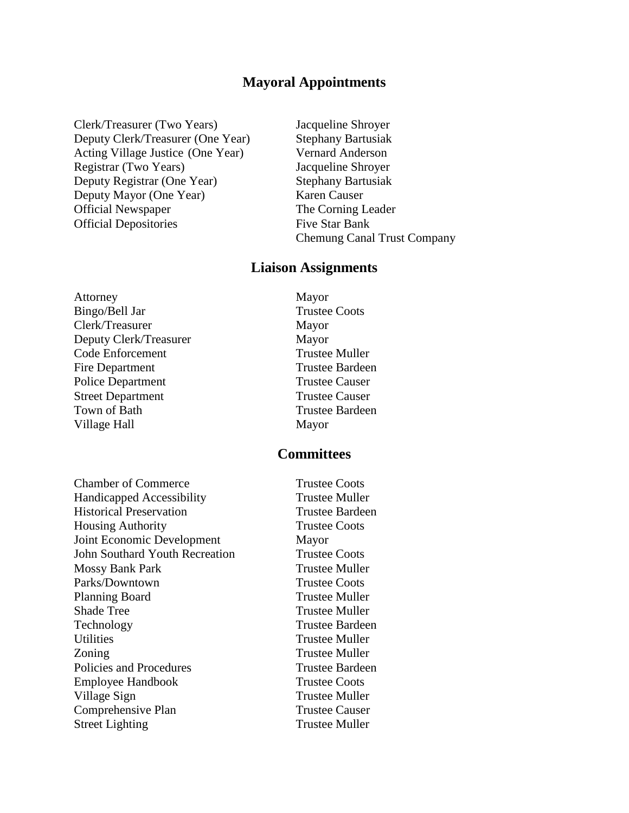# **Mayoral Appointments**

Clerk/Treasurer (Two Years) Jacqueline Shroyer Deputy Clerk/Treasurer (One Year) Stephany Bartusiak Acting Village Justice (One Year) Vernard Anderson Registrar (Two Years) Jacqueline Shroyer Deputy Registrar (One Year) Stephany Bartusiak Deputy Mayor (One Year) Karen Causer Official Newspaper The Corning Leader Official Depositories Five Star Bank

Chemung Canal Trust Company

### **Liaison Assignments**

Attorney Mayor Bingo/Bell Jar Trustee Coots Clerk/Treasurer Mayor Deputy Clerk/Treasurer Mayor Code Enforcement Trustee Muller Fire Department Trustee Bardeen Police Department Trustee Causer Street Department Trustee Causer Town of Bath Trustee Bardeen Village Hall Mayor

**Chamber of Commerce** Trustee Coots Handicapped Accessibility Trustee Muller Historical Preservation Trustee Bardeen Housing Authority Trustee Coots Joint Economic Development Mayor John Southard Youth Recreation Trustee Coots Mossy Bank Park Trustee Muller Parks/Downtown Trustee Coots Planning Board Trustee Muller Shade Tree Trustee Muller Technology Trustee Bardeen Utilities Trustee Muller Zoning Trustee Muller Policies and Procedures Trustee Bardeen Employee Handbook Trustee Coots Village Sign Trustee Muller Comprehensive Plan Trustee Causer Street Lighting Trustee Muller

# **Committees**